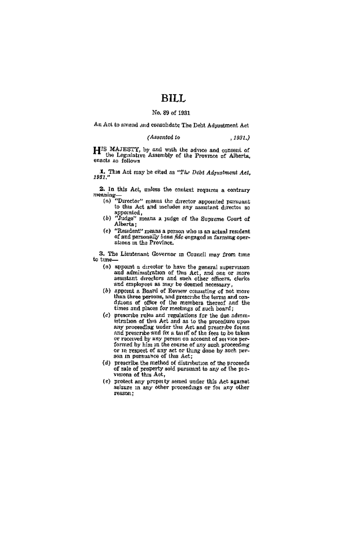# BHI.

# No. 89 of 1931

An Act to smend ,und consolidate The Debt Adjustment Act

#### (Assented to  $, 1931.)$

HIS MAJESTY, by and with the advice and consent of the Legislative Assembly of the Province of Alberta. enacts as follows

1. This Act may be eited as "The Debt Adynatment Act,  $1981$ ."

2. In this Act, unless the context requires a contrary mes

- "Director" means the director appointed pursuant  $(n)$ to this Act and includes any assistant director so appointed, approaches a judge of the Supreme Court of
- Alberta:
- (c) "Resident" means a person who is an actual resident of and personally bond fide engaged in farming operations in the Province.

3. The Lieutenant Governor in Council may from time to time

- (a) appoint a director to have the general supervision<br>and administration of this Act, and one or more<br>assistant directors and such other officers, clerks and employees as may be deemed necessary.
- (b) appoint a Board of Review consisting of not more than three persons, and prescribe the terms and contimes and places for meetings of such board;
- (c) prescribe rules and regulations for the due administration of this Act and as to the procedure upon any proceeding under this Act and prescribe forms<br>and prescribe and ax a tauff of the fees to be taken our preceived by any person on account of set vice per-<br>formed by him in the course of any such processing<br>formed by him in the course of any such processing<br>on in expect of any set or thing done by such per-<br>son in pursua
- (d) prescribe the method of distribution of the proceeds of sale of property sold pursuant to any of the pro-
- (c) protect any property sensed under this Act against asigned in any other proceedings or for any other reason: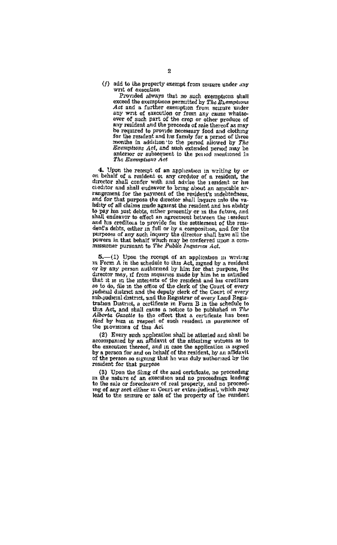(f) add to the property exempt from sessure under any writ of execution

Provided always that no such exemptions shall exceed the exemptions permitted by The Exemptions any writ of execution or from any cause whatsoany writ of such part of the error or other produce of<br>any resident and the proceeds of saie thereof as may<br>be required to provide necessary food and clothing for the resident and his family for a period of three<br>for the resident and his family for a period of three<br>months in addition to the period allowed by The<br>Exemptions Act, and such extended period may be anterior or subsequent to the period mostioned in The Exemptions Act

4. Upon the recept of an application in writing by or on behalf of a resident or any creditor of a resident, the director shall confer with and advise the resident or his cieditor and shall endeavor to bring about an amicable arrangement for the payment of the resident's indebtedness, and for that purpose the director shall inquire into the validity of all claims made against the resident and his ability have or an ensure manner exercise or in the future, and to pay his just debts, either presently or in the future, and shall endeavor to effect an agreement between the 1681eent and his creditous to provide for the settleme dent's debts, either in full or by a composition, and for the purposes of any such inquiry the director shall have all the powers in that behalf which may be conferred upon a com-<br>missioner pursuant to The Public Inquiries Act.

 $5$ . (1) Upon the recorpt of an application in writing in Form A in the schedule to this Act, argued by a resident or by any person authorized by him for that purpose, the or by any person authorized by him for that purpose, our distribution that it ranges are director may, if from intentive made by him he is satisfied as to do, file in the antest of the resulted and has creditors of the co sus-puessa castron, and use registers to every name and the schedule to this Act, and stall cause a notice to be published in The Alberta Gazdie to the effective factor of the schedule to the effect that a certificate liss the provisions of this Act

"so consorts of the factorization shall be attended and shall be<br>accompanied by an affidavit of the attending whites as to<br>be execution thereof, and in ease the application is argined by a person for and on heliad the trac resident for that purpose

(3) Upon the films of the said certificate, no proceeding in the nature of an execution and no proceedings leading to the sale or foreclosure of real property, and no proceedto the sale of foreclosure of real property, and he proceed-<br>mg of any sort citaer in Court or evita-judical, which may<br>lead to the smrupe or sale of the property of the resident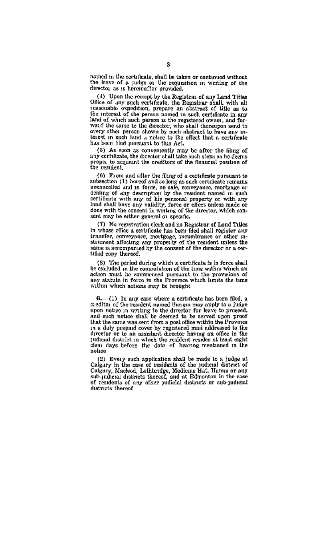named in the certificate, shall be taken or continued without nemed in the cortuneate, shall be taken or comunued without<br>the leave of a judge of the requisition in writing of the<br>director as is hereinafter provided.

(4) Upon the recept by the Registral of any Land Titles<br>Office of any such contificate, the Registrar shall, with all teasonable expedition, prepare an abstract of lifts as to the interest of the person named in such certainst in such the interest of the person named in such registered owner, and forward the same to the director, who shall thereupon send to every other person shown by such abstract to have any interest in such land a notice to the effect that a certificate has been filed pursuant to this Act.

(5) As soon as conveniently may be after the filing of<br>any corrificate, the director shall take such steps as he deems proper to acquaint the creditors of the financial position of the resident.

(6) From and after the filing of a certificate pursuant to subsection  $(1)$  hereof and so long as such certificate remains uncaucelled and in force, no sale, conveyance, mortgage or sensitive also that is contained to the resident named in such<br>certificate with any of his personal property or with any<br>land shall have any validity, force or effect unless made or done with the consent in writing of the director, which consent exce he either general or specific.

(7) No regretration clerk and no Registrar of Land Titles in whose office a certificate has been filed shall register any transfer, convergence, mortgage, meumbrance or other in-<br>statement affecting any property of the resident unless the<br>same is accompanied by the consent of the director or a certified copy thereof.

(8) The period during which a certificate is in force shall be excluded in the computation of the time within which an action must be commenced pursuant to the province after any statute in force in the Province which limits the tume within which actions may be brought

6.- (1) In any case where a certificate has been filed, a ca editor of the resident named therein may spply to a judge<br>capacities of the resident named therein may spply to a judge<br>upon notine in writing to the director for leave to proceed. and such notice shall be deemed to be served unon proof that the same was sent from a post office within the Province in a duly prepaid cover by registered mail addressed to the director or to an assistant director having an office in the judicial district in which the resident resides at least eight clear days before the date of hearing mentioned in the  $natus$ 

(2) Every such application shall be made to a judge at Calgary in the case of residents of the judicial district of Caugary, Macleod, Lethbridge, Medicine Hat, Hamna or any sub-judicial districts thereof, Medicine Hat, Hamna or any sub-judicial districts thereof, and at Edmonton in the case of residents of any other judicial districts o districts thorset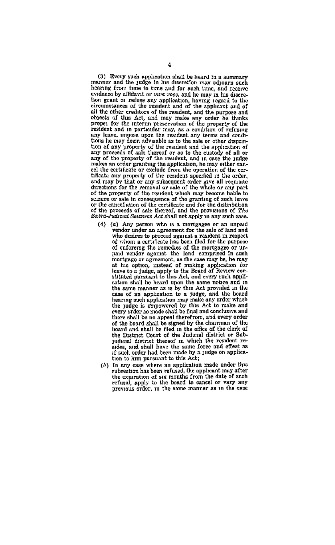(3) Every such application shall be heard in a summary<br>manner and the judge in his discretion may adjourn such hearing from time to time and for such time, and receive evidence by affidavit or sure coce, and he may in his discreson grant of refuse any application, having terms in memoriall the other creditors of the resident, and the purpose and all the other creditors of the resularit, and the purpose and<br>objects of this Act, and may make any order he thinks<br>proper for the interminancement of the property of the properties<br>resident and in particular may, as a con tion of any property of the resident and the application of any proceeds of sale thereof or as to the custody of all or any of the property of the resident, and in case the pudge makes an order granting the application, he may either cancel the certainst control of the certain of the cercan the certain of the conduct from the operation of the order, the order, and may by that or any subsequent order give all requisite and may by that or any subsequent order give all requisite directions for the removal or of the property of the resident which may become hable to of the property of monsequence when may become mane to<br>sellare or sale in consequence of the granting of such leave<br>or the cancellation of the certificate and for the distribution<br>of the proceeds of sale thereof, and the p

- (4) (c) Any person who is a mortgagee or an unpaid we can person who is a mongage or an unpern who desires to proceed against a resident in respect of whom a certificate has been filed for the purpose of enforcing the remedies of the mortgages or unpaid vendor against the land comprised in such pair ventor aggreement, as the case may be, be may leave to a judge, apply to the Board of Review con stituted pursuant to this Act, and every such application shall be heard upon the same potice and in cation shall be neare upon the same bowes since in<br>the same manner as is by this Act provided in the case of an application to a judge, and the board hearing such application may make any order which the judge is empowered by this Act to make and every order so made shall be final and conclusive and there shall be no appeal therefrom, and every order of the board shall be signed by the chairman of the board and shall be filed in the office of the clerk of the District Court of the Judicial district or Subjudicial district thereof in which the resident reif such order had been made by a judge on application to him pursuant to this Act:
- (b) In any case where an application made under this enhereiton has been refused, the applicant may after the experience of aix months from the date of such refusal, apply to the board to cancel or vary any previous order, in the same manner as in the case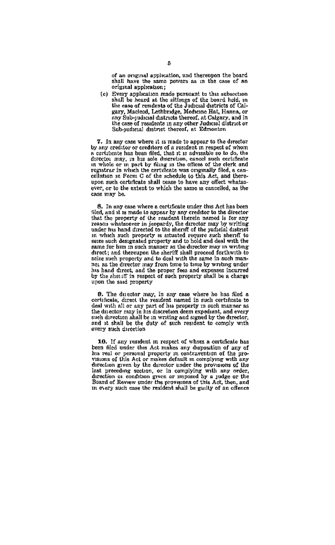of an annual entiretion and theresman the board shall have the same powers as in the case of an original application:

(c) Every application made pursuant to this aubsection newey apparented at the sittings of the board heid, in<br>shall be heard at the sittings of the board heid, in<br>the case of results of the Judicial districts of Cai-<br>isery. Macleod. Lethbridge. Medicine Hat, Hanna, or any Sub-judicial districts thereof, at Calgary, and in the case of resultants in any other Judicial district or<br>Sub-judicial district in any other Judicial district

7. In any case where it is made to appear to the director by any creditor or creditors of a resident in respect of whom a certificate has been filed, that it is advisable so to do, the director may, in his sole discretion, canocl such certificate atrector may, in mis some onservation, cancer such certaineate<br>in whole or in part by filing in the official of the clerk and<br>recrating in which the certificate was originally filed, a canregistrar in Winds are certained was originally men, a con-<br>cellation in Form C of the schedule to this Act, and thereupon such certificate shall tease to have any offect whatsoever, or to the extent to which the same is cancelled, as the case may be.

8. In any case where a certificate under this Act has been S. In any case where a certaneaxe under the *Axx* has been<br>filed, and it is made to appear by any creditor to the director<br>that the property of the readent therein nemed is for any<br>reason whatsoever in jeopardy, the direct under his hand directed to the sheriff of the judicial district season, which such property is attacted require such sheriff to<br>it, which such property is attacted require such sheriff to<br>sexe such designated property and to hold and deal with the once need to compute property and to not and deal with the same for him in such may need the director may need the director of the director of the director of the director of the director of the director of the state of th seize such property and to deal with the same in such man-<br>net as the director may from time to time by writing under his hand direct, and the proper fees and expenses incurred<br>by the should in respect of such property shall be a charge upon the said property

9. The duestor may, in any case where he has filed a certificate durest the resident named in such certificate to deal with all or any part of his property in such manner as deal with all of any part of his property in such manner as<br>the director may in his discretion deem expedient, and every<br>such direction ahall be in writing and signed by the director,<br>and it shall be the duty of such resid every such direction

10. If any resident in respect of whom a certificate has<br>been filed under that Act makes any dismostion of any of has real or personal property in contravection of the prodirection given by the director under the provisions of the incention as continue of the complying with any order, direction at condition given or imposed by a judge or the Board of Review under the provisions of this Act, then, and the in every such case in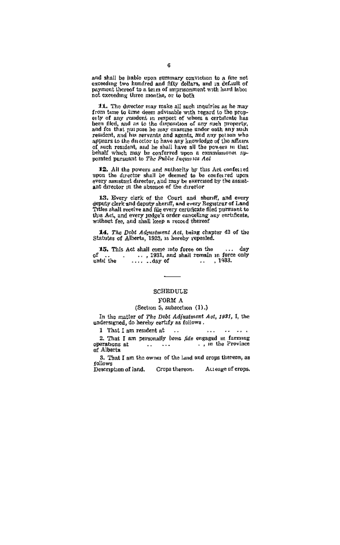and shall be itable upon summary conviction to a fine not exceeding two lumined and fifty dollars, and in definition payment thereof to a term of impromement with hard labor not exceeding three months, or to both

11. The director may make all such inquiries as he may from time to time deem advisable with regard to the properly of any resident in respect of whom a certificate has been filed, and as to the disposition of any such property, and for that purpose he may examine under eath any such resident, and his servants and agents, and any pation who of such resident, and he shall have all the powers in that behalf which may be conferred upon a commissioner sp-

12. All the powers and authority by this Act conferred upon the director shall be deemed to be conferred upon every assistant director, and may be exercised by the assistant director in the absence of the director

13. Every clerk of the Court and sheriff, and every electric depaths and departs and figure The shall receive and figure with the distinguished in the distinguished in the distinguished by the distinguished by settles and

14. The Doot Adjustment Act, being chapter 43 of the Statutes of Alberta, 1923, is hereby repealed.

**15.** This Act shall come into force on the ... day<br>of ... ..., 1931, and shall remain in force only until the ......day of ..., 1933.

## SCHEDULE

#### FORM A

#### (Section 5, subsection (1).)

In the matter of The Debt Adjustment Act, 1931, I, the undersigned, do hereby certify as follows.

 $\cdots$ 

1 That I am resident at ...

2. That I am personally bone fide engaged in farming operations at of Alberta

3. That I am the owner of the land and crops thereon, as rollows

Description of land. Crops thereon. Acreage of erops.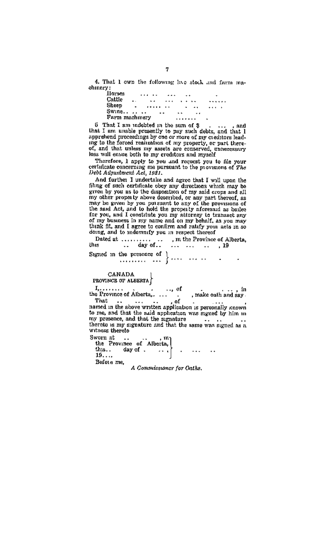4. That 1 own the following live stock and farm machinery:

| Horses         |     | 1.1.4 |                      |       | . . |                      | ٠          |
|----------------|-----|-------|----------------------|-------|-----|----------------------|------------|
| Cattle         | . . |       | $\ddot{\phantom{0}}$ | 1.1.1 |     | $\ddot{\phantom{1}}$ |            |
| Sheep          | ٠   |       |                      | ×.    | ٠   | $\ddotsc$            | 1.1.1<br>٠ |
| Swing          |     |       |                      |       | ××  | د د                  |            |
| Farm machinery |     |       |                      |       |     |                      |            |

 $6$  That I am indebted in the sum of  $8$ .... and that I am unable presently to pay such debts, and that I apprehend proceedings by one or more of my creditors lead. the to une roroon reansomence of my property, or puts vices<br>of, and that unless my assets are conserved, unnecessary<br>loss will ensite both to my creditors and myself

Therefore, I apply to you and request you to file your ertificate concerning me pursuant to the movisions of The Debt Admstment Act. 1981.

And forther I undertake and agree that I will upon the And 1011561 a showtises and agree that a win sign and applied of such certained electricals which may be given by you as to the disposition of my said crops and all my other property above described, or any part thereof, a my oncer property answe assertions, or any part thereon, as<br>may be given by you put mant to any of the provisions of<br>the and Act, and to hold the property aforesaid as bailed for you, and I constitute you my attorney in transact ony of my business in my name and on my behalf, as you may think fit, and I agree to contemn and ratify you acts in so<br>doing, and to indemnify you in respect thereof

|  | Dated at   m the Province of Alberta. |  |  |     |
|--|---------------------------------------|--|--|-----|
|  | this  day of    . 19                  |  |  |     |
|  |                                       |  |  | . . |

#### CANADA PROVINCE OF ALEERTA

 $19...$ 

 $\mathbf{I}_{t},\ldots,\ldots$  of Alberta,  $\dots$  $\ldots$  of  $. In$ . make outh and say. That .. of  $\ddotsc$ named in the above written application is personally known to me, and that the said application was signed by him in my presence, and that the signature was signature thereto is my signature and that the same was signature wrtuess thereto Sworn at ...  $. m<sub>2</sub>$  $th_{18}$ . day of . - 1

Before me,

A Commissioner for Onthe.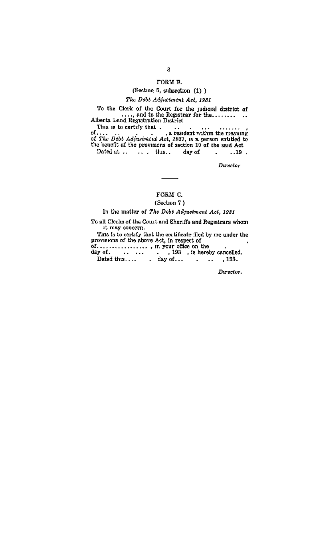### **FORM R**

# (Section 5, subsection (1) )

# The Debt Adjustment Act. 1981

This is to certify that

This is to certify that  $\mathbf{r}_1, \mathbf{r}_2, \ldots$ <br>of ....  $\mathbf{r}_k$  resident within the meaning of  $\mathcal{D}k$  *Debt Adjustment Act, 1951*, is a preson entitled to the benefit of the provisions of section 10 of the said Act  $\overline{19}$ Dated at ... ... this... day of

Derector

# FORM C.

# (Section 7)

#### In the matter of The Debt Admetment Act. 1931

To all Clerks of the Court and Sheriffs and Registrars whom it may concern.

Divertor.